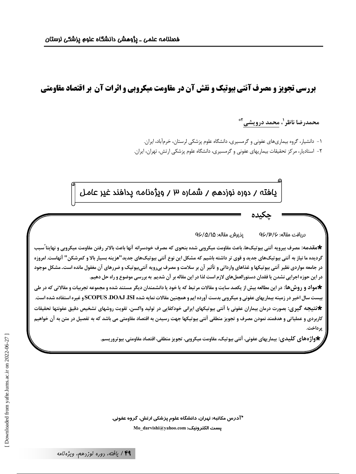بررسی تجویز و مصرف آنتی بیوتیک و نقش آن در مقاومت میکروبی و اثرات آن بر اقتصاد مقاومتی

# محمدرضا ناظر '، محمد درويشي '\*

۱- دانشیار، گروه بیماریهای عفونی و گرمسیری، دانشگاه علوم پزشکی لرستان، خرمآباد، ایران. ۲- استادیار، مرکز تحقیقات بیماریهای عفونی و گرمسیری، دانشگاه علوم پزشکی ارتش، تهران، ایران.

يافته / دوره نوزدهم / شماره ٣ / ويژەنامه پدافند غير عامل

جكىدە

#### يذيرش مقاله: ٩۶/۵/١۵ دريافت مقاله: ۹۶/۳/۶

\*مقدمه: مصرف بيرويه آنتي بيوتيك\ه، باعث مقاومت ميكروبي شده بنحوي كه مصرف خودسرانه آنها باعث بالاتر رفتن مقاومت ميكروبي و نهايتاً سبب گرديده ما نياز به آنتي بيوتيکهاي جديد و قوي تر داشته باشيم که مشکل اين نوع آنتي بيوتيکهاي جديد"هزينه بسيار بالا و کمرشکن" آنهاست. امروزه در جامعه مواردی نظیر آنتی بیوتیکها و غذاهای وارداتی و تأثیر آن بر سلامت و مصرف بیرویه آنتیبیوتیک و ضررهای آن مغفول مانده است. مشکل موجود در این حوزه اجرایی نشدن یا فقدان دستورالعملهای لازم است لذا در این مقاله بر آن شدیم به بررسی موضوع و راه حل دهیم.

\*مواد و روش ها: در این مطالعه بیش از یکصد سایت و مقالات مرتبط که یا خود یا دانشمندان دیگر مستند شده و مجموعه تجربیات و مقالاتی که در طی بیست سال اخیر در زمینه بیماریهای عفونی و میکروبی بدست آورده ایم و همچنین مقالات نمایه شده SCOPUS DOAJ JSI و غیره استفاده شده است. ★نتیجه گیری: بصورت درمان بیماران عفونی با آنتی بیوتیکهای ایرانی خودکفایی در تولید واکسن، تقویت روشهای تشخیص دقیق عفونتها تحقیقات کاربردی و عملیاتی و هدفمند نمودن مصرف و تجویز منطقی آنتی بیوتیکها جهت رسیدن به اقتصاد مقاومتی می باشد که به تفصیل در متن به آن خواهیم پرداخت.

\*واژههای کلیدی: بیماریهای عفونی، آنتی بیوتیک، مقاومت میکروبی، تجویز منطقی، اقتصاد مقاومتی، بیوتروریسم.

\*آدرس مکاتبه: تهران، دانشگاه علوم پزشکی ارتش، گروه عفونی. يست الكترونيك: Mo\_darvishi@yahoo.com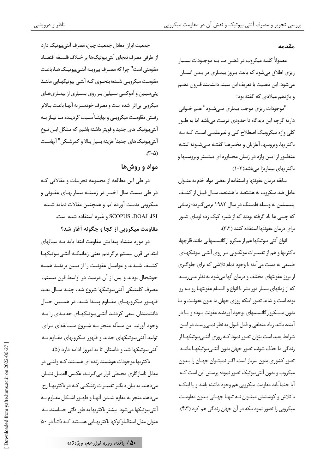#### مقدمه

معمولاً کلمه میکروب در ذهـن مـا بـه موجـودات بسـیار ریزی اطلاق مے شود که باعث بے وز بیمـاری در بـدن انسـان می شود. این ذهنیت با تعریف ابن سینا، دانشمند قـرون دهـم و یازدهم میلادی که گفته بود:

"موجودات ريزي موجب بيماري مـيشـود" هـم خـواني دارد؛ گرچه این دیدگاه تا حدودی درست می باشد اما به طـور کلی واژه میکروبیک اصطلاح کلی و غیرعلمـی اسـت کـه بـه باكتريها، ويروسها، آغازيان و مخمرهـا گفتـه مـيشـود؛ البتـه منظـور از ايــن واژه در زبــان محــاوره اي بيشــتر ويروســها و باکتریهای بیماریزا میباشد(۳-۱).

سابقه درمان عفونتها و استفاده از بعضی مواد خام به عنــوان عامل ضد میکروب به هشتصد یا هشتصد سـال قبـل از کشـف پنیسیلین به وسیله فلمینگ در سال ۱۹۸۲ برمی گـردد؛ زمـانی که چینی ها یاد گرفته بودند که از شیره کیک زده لوبیای شـور برای درمان عفونتها استفاده کنند (۳٬۲).

انواع آنتی بیوتیکها هم از میکرو ارگانیسمهایی مانند قارچها، باکتریها و هم از تغییـرات مولکـولی بـر روی آنتــ , بیوتیکهـای طبیعی به دست می آید؛ با وجود تمام تلاشی که برای جلوگیری از بروز عفونتهای مختلف و درمان آنها میشود به نظر مـی٫سـد که از زمانهای بسیار دور بشر با انواع و اقسـام عفونتهـا رو بـه رو بوده است و شاید تصور اینکه روزی جهان ما بدون عفونت و یـا بدون مـیـکروارگانیسمهای بوجود آوردنده عفونت بـوده و یـا در آينده باشد زياد منطقى و قابل قبول به نظر نمـيرسـد در ايـن شرایط بعید است بتوان تصور نمود کـه روزی آنتـیبیوتیکهـا از زندگی ما حذف شوند، تصور جهان بدون آنتےبیوتیکهـا ماننـد تصور کشوری بدون سرباز است. اگـر نمیتـوان جهـان را بـدون میکروب و بدون آنتے بیوتیک تصور نمود؛ پرسش این است کـه آیا حتماً باید مقاومت میکروبی هم وجود داشته باشد و یا اینکـه با تلاش و کوششش میتـوان نـه تنهـا جهـانی بـدون مقاومـت میکروپی را تصور نمود بلکه در آن جهان زندگی هم کرد (۴،۳).

جمعیت ایران معادل جمعیت چین، مصرف آنتے ہیوتیک دارد از طرفي مصرف نابجاي آنتي بيوتيك ها بر خــلاف فلســفه اقتصــاد مقاومتی است" چرا که مصـرف بیرویــه آنتــی.یوتیــک هــا، باعـث مقاومت میکروبے شـده؛ بنحـوی کـه آنتـی بیوتیکهـایی ماننـد پنی سیلین و آموکسی سـیلین بـر روی بسـیاری از بیمـاریهـای ميکروبي بي¦ثر شده است و مصرف خودسـرانه آنهـا باعـث بـالاتر رفــتن مقاومــت ميكروبــى و نهايتــاً ســبب گرديــده مــا نيــاز بــه آنتیبیوتیک های جدید و قویتر داشته باشیم که مشکل ایـن نـوع آنتي بيوتيک هاي جديد"هزينه بسيار بـالا و کمرشـکن" آنهاسـت  $(\mathcal{N}-\Delta)$ 

### مواد و روش ها

در طی این مطالعه از مجموعه تجربیات و مقالاتی کـه در طی بیست سال اخیـر در زمینــه بیماریهـای عفـونی و میکروبی بدست آورده ایم و همچنین مقالات نمایه شـده SCOPUS ،DOAJ ،ISI و غيره استفاده شده است.

مقاومت میکروبی از کجا و چگونه آغاز شد؟

در مورد منشاء پیدایش مقاومت ابتدا باید بـه سـالهای ابتدایی قرن بیستم برگردیم یعنی زمانیکـه آنتـیبیوتیکهـا كشـف شـدند و عوامـل عفونـت را از بـين بردنـد همـه خوشحال بودند و پس از آن درست در اواسط قرن بیستم، مصرف كلينيكي آنتي بيوتيكها شروع شد، چنـد سـال بعـد ظهـور ميكروبهـاي مقـاوم پيـدا شـد. در همــين حـال دانشمندان سعی کردنـد آنتـی بیوتیکهـای جدیـدی را بـه وجود آورند. این مسأله منجر بـه شـروع مسـابقهای بـرای تولید آنتی،بیوتیکهای جدید و ظهور میکروبهای مقـاوم بـه آنتی بیوتیکها شد و داستان تا به امروز ادامه دارد (۵).

باکتریها موجودات هوشمند زنده ای هســتند کــه وقتــی در مقابل ناساز گاري محيطي قرار مي گيرنــد، عكــس العمــل نشــان م دهند. به بیان دیگ تغییـرات ژنتیکـی کـه در باکتریهـا رخ مي دهد، منجر به مقاوم شـدن آنهـا و ظهـور اشـكال مقـاوم بـه آنتے ہیوتیکھا مے شود. بیشتر باکتریها به طور ذاتی حساسند. بــه عنوان مثال استافیلوکوکها باکتریهـایی هســتند کــه ذاتــاً در ۵۰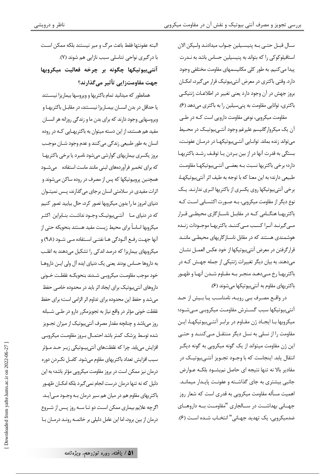سـال قبـل حتـى بـه پنيسـيلين جـواب ميدادنـد ولـيكن الان استافیلوکوکی را که بتواند به پنیسیلین حساس باشد به نـدرت پیدا می کنیم. به طور کلی مکانیسمهای مقاومت مختلفی وجود دارد. وقتی باکتری در معرض آنتیبیوتیک قرار میگیرد، امکـان بروز جهش در آن وجود دارد يعني تغيير در اطلاعـات ژنتيكـي باکتری، توانایی مقاومت به پنیسیلین را به باکتری میدهد (۶).

مقاومت میکروبی، نوعی مقاومت دارویی است کـه در طـی آن یک میکروارگانیسم علیرغم وجود آنتےبیوتیک در محـیط می تواند زنده بماند. توانـایی آنتـیبیوتیکهـا در درمـان عفونـت، بستگی به قدرت آنها در از بین بـردن یـا توقـف رشـد باکتریهـا دارد؛ ہرخی باکتریها نسبت بـه بعضـی آنتـی ہیوتیکهـا مقاومـت طبیعی دارند؛ به این معنا که با توجه به طیف اثر آنتی بیوتیکها، برخی آنتی بیوتیکها روی یکسری از باکتریها اثـری ندارنـد. یـک نوع دیگر از مقاومت میکروبی، بـه صـورت اکتسـابی اسـت کـه باکتریهـا هنگــامی کــه در مقابــل ناســازگاری محیطــی قــرار مے گیرنـد آنـرا کسـب مـے کننـد. باکتریهـا موجـودات زنـده هوشمندی هستند که در مقابل ناسـازگاریهای محیطـی ماننـد قرار گرفتن در معرض آنتے،بیوتیکھا از خود عکس العمـل نشــان می دهند. به بیان دیگر تغییرات ژنتیکی از جمله جهـش کـه در باكتريهـا رخ مـىدهـد منجـر بـه مقـاوم شـدن آنهـا و ظهـور باکتریهای مقاوم به آنتیبیوتیکها میشوند (۶).

در واقع مصـرف بـي رويــه، نامناسـب يـا بـيش از حـد آنتے ہیوتیکھا سبب گسترش مقاومت میکروہے مے شـود؛ میکروبها بـا ایجـاد ژن مقـاوم در برابـر آنتــیبیوتیکهـا، ایـن مقاومت را از نسلی به نسل دیگر منتقـل مـی کننـد و حتـی این ژن مقاومت میتواند از یک گونه میکروبی به گونه دیگـر انتقال یابد. اینجاست که با وجـود تجـویز آنتـیبیوتیـک در مقادیر بالا نه تنها نتیجه ای حاصل نمیشـود بلکـه عـوارض جانبی بیشتری به جای گذاشته و عفونت پایـدار میمانـد. اهمیت مسأله مقاومت میکروبی به قدری است که شعار روز جهــاني بهداشــت در ســالجاري "مقاومــت بــه داروهــاي ضدميكروبي، يك تهديد جهـاني" انتخـاب شـده اسـت (۶).

البته عفونتها فقط باعث مرگ و میر نیستند بلکه ممکن است با درگیری نواحی تناسلی سبب نازایی هم شوند (۷). آنتىبيوتيكها چگونه بر چرخه فعاليت ميكروبها جهت مقاومتزایی تأثیر می گذارند؟

همانطور که میدانید تمام باکتریها و ویروسها بیماریزا نیســتند یا حداقل در بدن انســان بیمــاریزا نیســتند، در مقابــل باکتریهـا و ويروسهايي وجود دارند كه براي بدن ما و زندگي روزانه هر انســان مفید هم هستند، از این دسته میتوان به باکتریهـایی کـه در روده انسان به طور طبیعی زندگی میکنند و عدم وجود شـان موجـب بروز یکسری بیماریهای گوارشی می شود نامبرد یا برخی باکتریهـا که برای تخمیر فرآوردههای لبنی مانند ماست استفاده میشود همچنین پروبیوتیکها که پس از مصرف در روده ساکن می شوند و اثرات مفیدی در سلامتی انسان برجای می گذارند، پــس نمیتـوان دنیای امروز ما را بدون میکروبها تصور کرد، حال بیایید تصور کنیم که در دنیای مـا آنتــے بیوتیــک وجــود نداشــت. بنــابراین آکثــر میکروبها اساساً برای محیط زیست مفید هستند بنحویکه حتی از آنها جهت رفـع آلـودگي هـا نفتـي اســتفاده مـي شـود (٩،٨) و میکروبھای بیماریزا که درصد اندکی را تشکیل می دهند به اغلب به داروها حساس بودند یعنی یک دنیای ایده آل ولی ایـن داروهـا خود موجب مقاومـت ميكروبـي شــدند بنحويكــه غلظـت خــوني داروهای آنتیبیوتیک برای ایجاد اثر باید در محدوده خاصی حفظ می شد و حفظ این محدوده برای تداوم اثر الزامی است؛ برای حفظ غلظت خونی مؤثر در واقع نیاز به تجویزمکرر دارو در طے، شــبانه روز می باشد و چنانچه مقدار مصرف آنتے ہیوتیک از میزان تجــویز شده توسط پزشک کمتر باشد احتمـال بـروز مقاومـت میکروبـی افزایش مییابد. چرا که غلظتهای آنتی بیوتیکی زیـر حـد مـؤثر سبب افزایش تعداد باکتریهای مقاوم میشود. کامـل نکـردن دوره درمان نیز ممکن است در بروز مقاومت میکرویی مؤثر باشد؛ به این دلیل که نه تنها درمان درست انجام نمی گیرد بلکه امکـان ظهـور باکتریهای مقاوم هم در میان هم سیر درمان بـه وجـود مـی]ًیـد. اگرچه علایم بیماری ممکن است دو تـا ســه روز پـس از شــروع درمان از بین برود، اما این عامل دلیلی بر خاتمـه رونـد درمـان بـا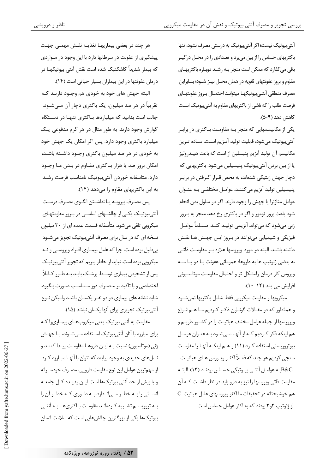آنتے ہیوتیک نیست؛ اگر آنتے ہیوتیک به درستے مصرف نشود، تنها باکتریهای حساس را از بین میبرد و تعـدادی را در محـل درگیـر باقی می گذارد که ممکن است منجر بـه رشـد دوبـاره باکتریهـای مقاوم و بروز عفونتهای ثانویه در همان محـل نیــز شــود؛ بنــابراین مصرف منطقى آنتـىبيوتيكهـا ميتوانـد احتمـال بـروز عفونتهـاى فرصت طلب را که ناشی از باکتریهای مقاوم به آنتی بیوتیک اسـت كاهش دهد (A−A).

یکی از مکانیسمهایی که منجر بـه مقاومـت بـاکتری در برابـر آنتي بيوتيک مي شود، قابليت توليد آنـزيم اسـت. سـاده تـرين مکانیسم آن تولید آنزیم پنیسلین از است که باعث هیـدرولیز یا از بین بردن آنتے،بیوتیک پنیسیلین مے،شود. باکتریهایے که دچار جهش ژنتیکی شدهاند، به محض قـرار گـرفتن در برابـر ينيسيلين توليد آنزيم مي كننــد. عوامــل مختلفــي بــه عنــوان عوامل متاژنزا یا جهش زا وجود دارند. اگر در سلول بدن انجام شود باعث بروز تومور و اگر در باکتری رخ دهد منجر به بـروز ژنی می شود که می تواند آنزیمی تولیـد کنـد. مسـلماً عوامـل فیزیکی و شیمیایی می توانند در بـروز ایـن جهـش هـا نقـش داشته باشند. البته در مورد ویروسها علاوه بـر مقاومـت ذاتـی به بعضی ژنوتیپ ها به داروها؛ همزمانی عفونت بـا دو یـا ســه ویروس کار درمان رامشکل تر و احتمال مقاومت موتاسیونی افزایش می یابد (۱۲-۱۰).

میکروبها و مقاومت میکروبی فقط شامل باکتریها نمی شــود و همانطور که در مقـالات گونـاون ذکـر کـرديم مـا هـم انـواع ويرورسها از جمله عوامل مختلف هياتيـت را در كشـور داريـم و هم اینکه ذکر کردیم کـه از آنهـا مـی شـود بـه عنـوان عوامـل بیوتروریستی استفاده کرد (۱۱) و هـم اینکـه آنهـا را مقاومـت سنجي کرديم هر چند که فعـلاً اکثـر ويـروس هـاي هپاتيـت .<br>B&Cبه عوامـل آنتـى بيـوتيكى حسـاس بودنـد (١٣). البتـه مقاومت ذاتی ویروسها را نیز به دارو باید در نظر داشـت کـه آن  $\overline{\text{C}}$  هم خوشبختانه در تحقیقات ما اکثر ویروسهای عامل هپاتیت از ژنوتیپ ۲و۳ بودند که به اکثر عوامل حساس است.

هر چند در بعضی بیماریهـا تغذیــه نقــش مهمــی جهـت پیشگیری از عفونت در سرطانها دارد با این وجود در مـواردی که بیمار شدیداً کاشکتیک شده است نقش آنتی بیوتیکهـا در

درمان عفونتها در این بیماران بسیار حیاتی است (١۴).

البته جهش های خود به خودی هم وجـود دارنـد کـه تقریباً در هر صد میلیون، یک باکتری دچار آن مـی،شــود. جالب است بدانید که میلیاردها بـاکتری تنهـا در دسـتگاه گوارش وجود دارند. به طور مثال در هر گرم مدفوعی یک میلیارد باکتری وجود دارد. پس اگر امکان یک جهش خود به خودی در هر صد میلیون باکتری وجـود داشـته باشـد، امکان بروز صد یا هزار بـاکتری مقـاوم در بـدن مـا وجـود دارد. متاسفانه خوردن آنتى بيوتيک نامناسب فرصت رشـد به این باکتریهای مقاوم را می دهد (۱۴).

یس مصرف بیرویـه یـا نداشـتن الگـوی مصـرف درسـت آنتے ہیوتیـک یکـی از چالشــهای اساســی در بـروز مقاومتهـای میکروپی تلقی می شود. متأسفانه قسمت عمده ای از ۳۰ میلیون نسخه ای که در سال برای مصرف آنتیبیوتیک تجویز میشود بے دلیل بودہ است، چرا که عامل بیمـاری افـراد ویروسـی و نـه میکروپی بوده است. نباید از خاطر ببریم که تجویز آنتی بیوتیـک پس از تشخیص بیماری توسط پزشک بایـد بـه طـور کـاملاً اختصاصی و با تاکید بر مصـرف دوز مـنـاسـب صـورت بـگیرد. شاید نشانه های بیماری در دو نفـر یکسـان باشـد ولـیکن نـوع آنتے ہیوتیک تجویزی برای آنها یکسان نباشد (۱۵).

مقاومت به آنتی بیوتیک یعنی میکروبهـای بیمـاری;ا کـه برای مبارزہ با آنان آنتی بیوتیک اسـتفادہ مـی شـوند، بـا جهـش ژنی (موتاسیون) نسبت بـه ایـن داروهـا مقاومـت پیـدا کننـد و نسلهای جدیدی به وجود بیایند که نتوان با آنهـا مبـارزه کـرد. از مهم ترين عوامل اين نوع مقاومت دارويي، مصـرف خودســرانه و یا بیش از حد آنتی بیوتیکها است. ایـن پدیـده کـل جامعـه انسـاني را بـه خطـر مـيانـدازد بـه طـوري كـه خطـر آن را بـه تروریســم تشــبیه کـردهانــد مقاومـت بــاکتریهــا بــه آنتــی بیوتیکها یکی از بزرگترین چالشهایی است که سلامت انسان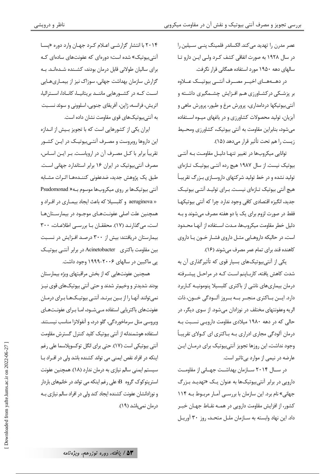عصر مدرن را تهدید مے کند. الکساندر فلمینگ پنے سےپلین را در سال ۱۹۲۸ به صورت اتفاقی کشف کـرد ولـی ایـن دارو تـا سالهای دهه ۱۹۵۰ مورد استفاده همگانی قرار نگرفت.

در دهــههـــای اخیـــر مصـــرف آنتـــی بیوتیـــک عـــلاوه بر پزشـکی در کشـاورزی هـم افـزايش چشـمگيری داشـته و آنتی بیوتیکها دردامداری، پرورش مرغ و طیور، پرورش ماهی و آبزیان، تولید محصولات کشاورزی و در باغهای میـوه اسـتفاده میشود، بنابراین مقاومت به آنتی بیوتیک، کشاورزی ومحـیط زيست را هم تحت تأثير قرار مي دهد (١۵).

توانایی میکروبها در تغییر تنهـا دلیـل مقاومـت بـه آنتـی بیوتیک نیست. از سال ۱۹۸۷ هیچ رده آنتــی بیوتیــک تــازهای تولید نشده و در خط تولید شرکتهای داروسـازی بـزرگ تقریبـاً هیچ آنتی بیوتیک تـازهای نیسـت. بـرای تولیـد آنتـی بیوتیـک جدید، انگیزہ اقتصادی کافی وجود ندارد چرا که آنتی بیوتیکھا فقط در صورت لزوم برای یک یا دو هفته مصرف می شوند و بـه دلیل خطر مقاومت میکروبها، مـدت اسـتفاده از آنهـا محـدود است، در حالیکه داروهـایی مثـل داروی فشـار خـون یـا داروی کاهنده قند برای تمام عمر مصرف می شوند (١۶).

یکی از آنتی بیوتیکهای بسیار قوی که تأثیر گذاری آن به شدت کاهش یافته، کارباینم است کـه در مراحـل ییشـرفته درمان بیماریهای ناشی از باکتری کلبسیلا پنومونیـه کـاربرد دارد. ایـــن بـــاکتری منجـــر بـــه بـــروز آلـــودگی خـــون، ذات الريه وعفونتهاي مختلف در نوزادان مي شود. از سوي ديگر، در حالی که در دهه ۱۹۸۰ میلادی مقاومت دارویے نسبت بـه درمان آلودگی مجاری ادراری بـه بـاکتری ای کــولای تقریبـاً وجود نداشت، این روزها تجویز آنتی بیوتیک برای درمـان ایـن عارضه در نیمی از موارد بی تاثیر است.

در سـال ۲۰۱۴ سـازمان بهداشـت جهـانی از مقاومـت دارویی در برابر آنتی بیوتیکها به عنوان یـک «تهدیـد بـزرگ جهانی» نام برد. این سازمان با بررسـی آمـار مربـوط بـه ۱۱۴ کشور، از افزایش مقاومت دارویی در همـه نقـاط جهـان خبـر داد. این نهاد وابسته به سازمان ملل متحد، روز ۳۰ آوریل

۲۰۱۴ با انتشار گزارشے اعلام کرد جهان وارد دورہ «پسا آنتی بیوتیک» شده است؛ دورهای که عفونتهای سادهای کـه برای سالیان طولانی قابل درمان بودند، کشـنده شـدهانـد. بـه گزارش سازمان بهداشت جهانی، سوزاک نیز از بیمـاریهـایی اسـت كـه در كشـورهايي ماننـد بريتانيـا، كانـادا، اسـتراليا، اتریش، فرانسه، ژاپن، آفریقای جنوبی، اسلوونی و سوئد نسـبت به آنتیبیوتیکهای قوی مقاومت نشان داده است.

ایران یکی از کشورهایی است که با تجویز بـیش از انـدازه این داروها روبروست و مصـرف آنتـی.بیوتیـک در ایـن کشـور تقریباً برابر با کـل مصـرف آن در اروپاسـت. بـر ایـن اسـاس، مصرف آنتی بیوتیک در ایران ۱۶ برابر استاندارد جهانی است. طبق یک پژوهش جدید، ضدعفونی کننــدههـا اثــرات مشــابه آنتی بیوتیکها بر روی میکروبها موسوم بـه« Psudomonad « aeruginova و کلبسیلا که باعث ایجاد بیمـاری در افـراد و همچنین علت اصلی عفونـتهـای موجـود در بیمارسـتانهـا است، می گذارنـد (١٧). محققــان بــا بررســی اطلاعــات، ٣٠٠ بیمارستان دریافتند: بیش از ۳۰۰ درصد افـزایش در نسـبت بین مقاومت باکتری ِ Acinetobacter در برابر آنتے بیوتیک پی ماکبین در سالهای ۲۰۰۶–۱۹۹۹ وجود داشت.

همچنین عفونتهایی که از بخش مراقبتهای ویژه بیمارستان بودند شدیدتر و وخیمتر شدند و حتی آنتی بیوتیکهای قوی نیـز نمی توانند آنهـا را از بـین ببرنـد. آنتـی بیوتیـکـهـا بـرای درمـان عفونتھای باکتریایے استفادہ مے شـود، امـا بـرای عفونـتھـای ويروسي مثل سرماخوردگي، گلو درد، و آنفولانزا مناسب نيسـتند. استفاده هوشمندانه از آنتی بیوتیک کلید کنترل گسترش مقاومت آنتی بیوتیکی است (١٧). حتی برای انگل توکسوپلاسما علی رغم اینکه در افراد نقص ایمنی می تواند کشنده باشد ولی در افـراد بـا سیستم ایمنی سالم نیازی به درمان ندارد (۱۸). همچنین عفونت استریتوکوک گروه B علی رغم اینکه می تواند در خانمهای باردار و نوزادانشان عفونت کشنده ایجاد کند ولی در افراد سالم نیازی بـه درمان نمي باشد (١٩).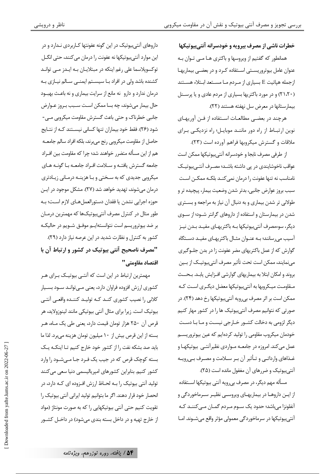خطرات ناشی از مصرف بیرویه و خودسرانه آنتیبیوتیکها همانطور که گفتیم از ویروسها و باکتری هـا مــی تــوان بــه عنوان عامل بیوتروریستی استفاده کـرد و در بعضـی بیماریهـا ازجمله هیاتیت E بسیاری از مـردم مـا مسـتعد ابـتلاء هسـتند (۲۱،۲۰) و در مورد باکتریها بسیاری از مردم عادی و یا پرسـنل بيمارستانها در معرض سل نهفته هستند (٢٢).

هرچند در بعضـی مطالعـات اسـتفاده از فـن آوریهـای نوین ارتباط از راه دور ماننـد موبایـل؛ راه نزدیکـی بـرای ملاقات و گسترش میکروبها فراهم آورده است (۲۳).

از طرفي مصرف نابجا و خودسرانه آنتي بيوتيكها ممكن است عواقب ناخوشایندی در پی داشته باشـد؛ مصـرف آنتـی.بیوتیـک نامناسب نه تنها عفونت را درمان نمي كنـد بلكـه ممكـن اسـت سبب بروز عوارض جانبي، بدتر شدن وضعيت بيمار، پيچيده تر و طولانی تر شدن بیماری و به دنبال آن نیاز به مراجعه و بسـتری شدن در بیمارستان و استفاده از داروهای گرانتر شـود؛ از سـوی دیگر، سوءمصرف آنتے ہیوتیکھا بـه باکتریهـای مفیـد بـدن نیـز آسیب می رسانند؛ بـه عنـوان مثـال باکتریهـای مفیـد دسـتگاه گوارش که از عمل باکتریهای مضر عفونت زا در بدن جلــوگیری مي نمايند، ممكن است تحت تأثير مصرف آنتي بيوتيـك از بــين بروند و امکان ابتلا به بیماریهای گوارشی افـزایش پابـد. بـحــث مـقاومـت ميـكروبها به آنتي بيوتيكها معضل ديگـرى اسـت كـه ممکن است بر اثر مصرف بے رویه آنتے ہیوتیکھا رخ دهد (۲۴). در صورتی که نتوانیم مصرف آنتی بیوتیک ها را در کشور مهار کنیم دیگر لزومی به دخالت کشـور خـارجی نیسـت و مـا بـا دسـت خودمان میکروب مقاومی را تولید کردهایم که عین بیوتروریســم عمل میکند. امروزه در جامعـه مـواردی نظیرآنتـی بیوتیکهـا و غـذاهای وارداتـی و تـأثیر آن بـر سـلامت و مصـرف بـی٫رویـه آنتی بیوتیک و ضررهای آن مغفول مانده است (۲۵).

مسأله مهم ديگر، در مصرف بي رويه آنتي بيوتيكها اســتفاده از ایـن داروهـا در بیماریهـای ویروسـی نظیـر سـرماخوردگی و آنفلونزا میباشد؛ حدود یک سـوم مـردم گمـان مـیکننـد کـه آنتي بيوتيكها در سرماخوردگي معمولي مؤثر واقع مي شـوند. امـا

داروهای آنتی بیوتیک در این گونه عفونتها کـاربردی نـدارد و در این موارد آنتیبیوتیکها نه عفونت را درمان میکنند، حتی انگــل توکسوپلاسما علی رغم اینکه در مبتلایـان بـه ایـدز مـی توانـد کشنده باشد ولی در افراد با سیستم ایمنـی سـالم نیـازی بـه درمان ندارد و دارو نه مانع از سرایت بیماری و نه باعث بهبود حال بیمار میشوند، چه بسا ممکن است سـبب بـروز عـوارض جانبی خطرناک و حتی باعث گسترش مقاومت میکروبی مـی-شود (۲۶). فقط خود بیماران تنها کسانی نیسـتند کـه از نتـایج حاصل از مقاومت میکروبی رنج می برند، بلکه افراد سالم جامعــه هم از این مسأله متضرر خواهند شد؛ چرا که مقاومت بین افـراد جامعه گسترش یافتـه و سـلامت افـراد جامعـه بـا گونـه هـای میکرویی جدیدی که به سختی و بـا هزینــه درمـانی زیـادتری درمان می شوند، تهدید خواهد شد (۲۷). مشکل موجود در ایـن حوزه اجرایی نشدن یا فقدان دستورالعملهای لازم است؛ بـه طور مثال در کنترل مصرف آنتیبیوتیکها که مهمترین درمـان بر ضد بیوتروریسم است نتوانستهایـم موفـق شـویم در حالیکـه کشور به کنترل و نظارت شدید در این عرصه نیاز دارد (۲۹). "مصرف ناصحیح آنتی بیوتیک در کشور و ارتباط آن با اقتصاد مقاومتي''

مهمترین ارتباط در این است که آنتـی بیوتیـک بـرای هـر کشوری ارزش افزوده فراوان دارد، یعنی مـیتوانـد ســود بســیار کلانی را نصیب کشوری کنـد کـه تولیـد کننـده واقعـی آنتـی بیوتیک است. زیرا برای مثال آنتی بیوتیکی مانند لینوزولاید، هر قرص آن ۲۵۰ هزار تومان قیمت دارد، یعنی طی یک مـاه، هـر بسته از این قرص بیش از ۱۰ میلیون تومان هزینه می برد. لذا ما باید صد بشکه نفت را از کشور خود خارج کنیم تـا اینکـه یـک بسته کوچک قرص که در جیب یک فـرد جـا مـیشـود را وارد کشور کنیم. بنابراین کشورهای امیریالیسمی دنیا سعی میکنند تولید آنتی بیوتیک ,ا بـه لحـاظ ارزش افـزوده ای کـه دارد، در انحصار خود قرار دهند. اگر ما بتوانیم تولید ایرانی آنتی بیوتیک را تقویت کنیم حتی آنتی بیوتیکهایی را که به صورت مونتاژ (مواد از خارج تهيه و در داخل بسته بندي مي شود) در داخــل كشــور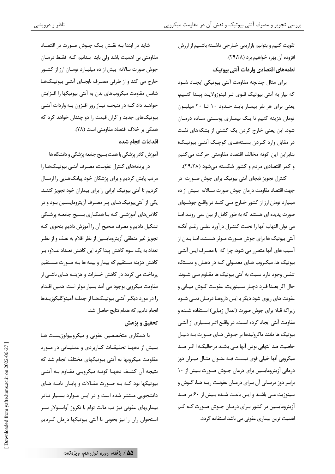شاید در ابتدا بـه نقــش یـک جــوش صــورت در اقتصـاد مقاومتی بی اهمیت باشد ولی باید بـدانیم کـه فقـط درمـان جوش صورت سالانه بیش از ده میلیـارد تومـان ارز از کشـور خارج می کند و از طرفی مصرف نابجـای آنتـی بیوتیـکهـا شانس مقاومت میکروبهای بدن به آنتی بیوتیکها را افـزایش خواهـد داد كـه در نتيجـه نيـاز روز افـزون بـه واردات آنتـى بیوتیکهای جدید و گران قیمت را دو چندان خواهد کرد که همگی بر خلاف اقتصاد مقاومتی است (۲۸).

#### اقدامات انجام شده

آموزش كادر يزشكي با همت بسيج جامعه پزشكي و دانشگاه ها

در برنامههای کنترل عفونت، مصـرف آنتـی بیوتیـکهـا را مرتب پایش کردیم و برای پزشکان خود پیامکهـایی را ارسـال کردیم تا آنتی بیوتیک ایرانی را برای بیماران خود تجویز کننــد. یکی از آنتی بیوتیک هـای پـر مصـرف آزیترومایسـین بـود و در کلاس های آموزشــی کـه بـا همکـاری بســیج جامعـه پزشــکی تشكيل داديم و مصرف صحيح أن را أموزش داديم بنحوي كـه تجويز غير منطقى آزيترومايسين از نظر اقلام به نصف و از نظـر ۔<br>تعداد به یک سوم کاهش پیدا کرد این کاهش تعــداد عــلاوه بــر كاهش هزينه مستقيم كه بيمار و بيمه ها بـه صـورت مسـتقيم یرداخت می گردد در کاهش خسارات و هزینــه هــای ناشــی از مقاومت میکروپی بوجود می آمد بسیار موثر است. همین اقــدام را در مورد دیگـر آنتـی بیوتیـکـهـا از جملـه آمیتوگلیکوزیـدها انجام دادیم که همام نتایج حاصل شد.

#### تحقيق و پژهش

با همکاری متخصصین عفونی و میکروبیولوژیست هـا بسیش از دههـا تحقیقـات كـاربردی و عمليـاتی در مـورد مقاومت میکروبها به آنتی بیوتیکهای مختلف انجام شد که نتيجه آن كشف دههـا گونـه ميكروبـي مقـاوم بـه آنتـي بیوتیکها بود کـه بـه صـورت مقـالات و پایـان نامـه هـای دانشجویی منتشر شده است و در ایـن مـوارد بسـیار نـادر بیماریهای عفونی نیز تب مالت توام با نکروز آواسـولار سـر استخوان ران را نیز بخوبی با آنتی بیوتیکها درمان کـردیم تقویت کنیم و بتوانیم بازاریابی خــارجی داشــته باشــیم از ارزش افزوده آن بهره خواهیم برد (۲۹،۲۸). لطمههای اقتصادی واردات آنتی بیوتیک

برای مثال چنانچه مقاومت آنتی بیوتیکی ایجـاد شــود که نیاز به آنتی بیوتیک قـوی تـر لینوزولایـد پیـدا کنــیم، یعنی برای هر نفر بیمـار بایـد حـدود ۱۰ تـا ۲۰ میلیـون تومان هزينه كنيم تا يك بيمـاري پوسـتي سـاده درمـان شود. این یعنی خارج کردن یک کشتی از بشکههای نفت در مقابل وارد كـردن بسـتههـاي كوچـك آنتـي بيوتيـك؛ بنابراين اين گونه مخالف اقتصاد مقاومتي حركت مي كنيم و کمر اقتصادی مردم و کشور شکسته میشود (۲۹،۲۸).

کنترل تجویز نابجای آنتی بیوتیک برای جوش صـورت در جهت اقتصاد مقاومت درمان جوش صورت سـالانه بـيش از ده میلیارد تومان ارز از کشور خـارج مـبی کنـد در واقــع جوشــهای صورت پدیده ای هستند که به طور کامل از بین نمی رونـد امـا مي توان التهاب آنها را تحت كنتـرل درآورد علـي رغـم آنكـه آنتی بیوتیک ها برای جوش صـورت مـوثر هسـتند امـا بـدن از آسیب های آنها متضر, می شود، چرا که با مصـرف ایـن آنتـی بیوتیک ها، میکـروب هـای معمـولی کـه در دهـان و دسـتگاه تنفس وجود دارد نسبت به آنتی بیوتیک ها مقـاوم مـبی شـوند. حال اگر بعـدا فـرد دچـار سـينوزيت، عفونـت گـوش ميـاني و عفونت های ریوی شود دیگر با ایــن داروهـا درمــان نمــی شــود زیراکه قبلا برای جوش صورت (اعمال زیبایی) استفاده شـده و مقاومت آنتی ایجاد کرده است. در واقـع اثـر بسـیاری از آنتـی بیوتیک ها مانند ماکرولیدها بر جـوش هـای صـورت بـه دلیـل خاصیت ضد التهابی بودن آنها مـی باشـد درحالیکـه ا اثـر ضـد میکروپی آنها خیلی قوی نیست ؛بـه عنـوان مثـال میـزان دوز درمانی آزیترومایسین برای درمان جـوش صـورت بـیش از ۱۰ برابـر دوز درمـانی آن بـرای درمـان عفونـت ریـه هـا، گــوش و سینوزیت مے باشد و ایـن باعـث شـده بـیش از ۶۰ در صـد آزیترومایسین در کشور بـرای درمـان جـوش صـورت کـه کـم اهمیت ترین بیماری عفونی می باشد استفاده گردد.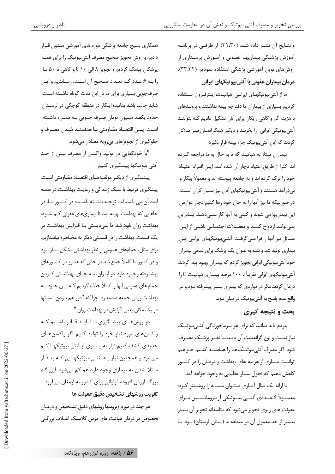و نتایج آن نشـر داده شـد (٣١،٣٠). از طرفـی در برنامـه آموزش پزشـکی بیماریهـا عفـونی و آمـوزش پرسـتاری از روشهای نوین آموزشی پزشکی استفاده نمودیم (۳۳،۳۲). درمان بیماران عفونی با آنتی بیوتیکهای ایرانی

ما از آنتے ہیوتیکھای ایرانے میاتیت، اینترف ون اسـتفادہ کردیم. بسیاری از بیماران ما دفترچه بیمه نداشتند و پرونـدهای با هزینه کم و گاهی رایگان برای آنان تشکیل دادیم کـه بتواننـد آنتی بیوتیکی ایرانی را بخرنـد و دیگـر همکارانمـان نیـز تـلاش کردند که این آنتیبیوتیک جزء بیمه قرار بگیرد.

بیماران مبتلا به هیاتیت که تا به حال به ما مراجعه کرده اند اکثرا از طریق اعتیاد دچار آن شده انـد. ایـن افـراد اعتیـاد خود را ترک کرده اند و به جامعه پیوسته اند و معمولاً بیکار و بیدرآمد هستند و آنتیبیوتیکهای آنان نیز بسیار گران است. در صورتیکه ما نیز آنها را به حال خود رها کنیم دچار عوارض این بیماریها می شوند و کسی به آنها کار نمــی۵هـد، بنــابراین نمی توانند ازدواج کننـد و معضـلات اجتمـاعی ناشـی از ایـن مسائل نیز آنها را فرا مے گرفت. آنتے ہیوتیکھای ایرانے ایـن بیماری تولید شد و بنده به عنوان یک پزشک برای تمامی بیماران خود آنتے ہیوتیکی ایرانی تجویز کردم که بیماران بهبود پیدا کردند. آنتے ہیوتیکھای ایرانی تقریباً تا ۱۰۰ درصد بیمـاری هیاتیـت C,ا درمان کردند مگر در مواردی که بیماری بسیار پیشرفته بـود و در واقع عدم ياسخ به آنتے ہيوتيک در ميان نبود.

#### يحث و نتيجه گيري

مردم باید بدانند که برای هر سرماخوردگی آنتـیبیوتیـک نیاز نیست و نوع گرانقیمت آن بایـد بـا نظـر پزشـك مصـرف شود. اگر مصرف آنتے ہیوتیـکھـا را هدفمنـد کنـیم خـواهیم توانست بسیاری از هزینه های بهداشت و درمـان را در کشـور .<br>کاهش دهیم که تحول بسیار عظیمی به وجود خواهد آمد.

با ارائه یک مثال آمـاری میتـوان مسـاله را روشـنتر کـرد: معمــولاً ۶ عــددي آنتــي بيــوتيكي آزيترومايســين بــراي عفونت های ریوی تجویز می شود که متاسفانه تجویز آن بسیار بيشتر از حد معمول آن در منطقه ما (استان لرستان) بـود. بـا

همکاری بسیج جامعه پزشکی دوره های آموزشی مـدون قـرار دادیم و روش تجویز صحیح مصرف آنتیبیوتیک را برای همـه پزشکان پیامک کردیم و تجویز ۸ الی ۱۰ تا و گاهی تا ۵۰ تـا را بـه ۶ عـدد كـه تعـداد صـحيح آن اسـت، رسـانديم و ايـن صرفهجویی بسیاری برای ما در این مدت کوتاه داشته است. شاید جالب باشد بدانید؛ اینکار در منطقه کوچکی در لرستان حدود يكصد ميليون تومان صـرفه جــويي بــه همــراه داشــته اسـت. پــس اقتصـاد مقــاومتى بــا هدفمنــد شــدن مصــرف و جلوگیری از تجویزهای بیرویه معنادار میشود.

"با خودکفایی در تولید واکسن از مصرف بیش از حـد آنتی بیوتیکها پیشگیری کنیم :

ییشگیری از دیگـر مولفـههـای اقتصـاد مقـاومتی اسـت. پیشگیری مرتبط با سبک زنـدگی و رعایـت بهداشـت در همـه ابعاد آن می باشد. امــا توجــه داشــته باشــید؛ در کشــور مــا، در جاهایی که بهداشت بهینه شد تا بیماریهای عفونی کــم شــود، بهداشت روان نابود شد. ما نمے بایستے بـا افـزایش بهداشـت در یک قسمت، بهداشت را در قسمتی دیگر به مخـاطره بیانـدازیم. برای مثال، حمامهای عمومی از نظر بهداشتی مشکل سـاز بـود و در کشور ما کاملاً جمع شد در حالی که هنـوز در کشـورهای پیشـرفته وجـود دارد. در ایـران، بـه جـای بهداشـتی کـردن حمام های عمومی آنها را کاملاً حذف کردیم کـه ایــن خــود بــه بهداشت رواني جامعه صدمه زد. چرا كه "دور هم بــودن انســانها در یک مکان یعنی افزایش در بهداشت روان."

در روشهـای پیشـگیری مـا بایـد قـادر باشـیم کـه واکسنهای مورد نیاز خود را تولید کنیم. اگر واکسنهای جدیدی کشف کنیم نیاز به بسیاری از آنتی بیوتیکها کـم میشود و همچنین نیاز بـه آنتـی بیوتیکهـایی کـه بعـد از مبتلا شدن به بیماری وجود دارد هم کم میشود. این گام بزرگ ارزش افزوده فراوانی برای کشور به ارمغان میآورد. تقويت روشهاي تشخيص دقيق عفونت ها

هر چند در مورد ویروسها روشهای دقیق تشـخیص و درمـان بخصوص در درمان هیاتیت های مزمن کلاسیک انقــلاب بزر گــی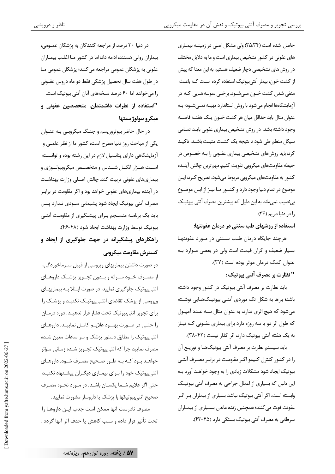حاصل شده است (۳۵،۳۴) ولی مشکل اصلی در زمینـه بیمـاری های عفونی در کشور تشخیص بیماری است و ما به دلایل مختلف در روش های تشخیصی دچار ضعیف هستیم به این معنا که پیش از کشت خون، بیمار آنتیبیوتیک استفاده کرده است کـه باعـث منفي شدن كشت خــون مــيشــود. برخــي نمونــههــايي كــه در آزمایشگاهها انجام میشود با روش استاندارد تهیـه نمـیشـود؛ بـه عنوان مثال بايد حداقل ميان هر كشت خــون يــك هفتــه فاصــله وجود داشته باشد. در روش تشخیص بیماری عفونی بایـد تمـامی سیکل منظم طی شود تا نتیجه یک کشـت مثبـت باشـد، تاکیـد کرد: باید روشهای تشخیصی بیماری عفـونی را بــه خصـوص در حيطه مقاومتهاى ميكروبي تقويت كنيم. مهم ترين چالش آينـده کشور به مقاومتهای میکرویی مربوط می شود، تصریح کـرد: ایـن موضوع در تمام دنیا وجود دارد و کشـور مـا نیـز از ایـن موضـوع یے نصیب نمی ماند به این دلیل که بیشترین مصرف آنتی بیوتیـک .ا د. دنيا داريم (٣۶).

استفاده از روشهای طب سنتی در درمان عفونتها:

هرچند جایگاه درمان طب سـنتی در مـورد عفونتهـا بسیار ضعیف و گران قیمت است ولی در بعضی مـوارد بـه عنوان كمك درمان موثر بوده است (٣٧). " نظارت بر مصرف آنتي بيوتيک :

باید نظارت بر مصرف آنتی بیوتیک در کشور وجود داشته باشد؛ بارها به شکل تک موردی آنتـی بیوتیـکهـایی نوشـته می شود که هیچ اثری ندارد، به عنوان مثال سـه عـدد آمیـول که طول اثر دو یا سه روزه دارد برای بیماری عفـونی کـه نیـاز به یک هفته آنتی بیوتیک دارد، اثر گذار نیست (۴۲-۳۸).

باید سیستم نظارت بر مصرف آنتی بیوتیکهـا و توزیـع آن را در کشور کنترل کنیمو اگـر مقاومـت در برابـر مصـرف آنتـی بیوتیک ایجاد شود مشکلات زیادی را به وجود خواهـد آورد بـه این دلیل که بسیاری از اعمال جراحی به مصرف آنتی بیوتیک وابسته است، اگر آنتی بیوتیک نباشد بسیاری از بیماران بـر اثـر عفونت فوت میکنند؛ همچنین زنده ماندن بسـیاری از بیمـاران سرطانی به مصرف آنتی بیوتیک بستگی دارد (۴۵-۴۳).

در دنیا ۳۰ درصد از مراجعه کنندگان به پزشکان عمـومی، بیماران روانی هستند، ادامه داد: اما در کشور مـا اغلـب بیمـاران عفونی به پزشکان عمومی مراجعه میکنند؛ پزشکان عمومی مـا در طول هفت سال تحصیل پزشکی فقط دو ماه دروس عفــونی را می خوانند اما ۶۰ درصد نسخههای آنان آنتی بیوتیک است. "استفاده از نظرات داشمندان، متخصصین عفونی و ميكرو بيولوژيستها

در حال حاضر بیوتروریسم و جنــگ میکروبـی بـه عنـوان یکی از مباحث روز دنیا مطرح است، کشور ما از نظر علمـی و آزمایشگاهی دارای پتانسیل لازم در این رشته بوده و توانسـته اسـت هـزار انگــل شــناس و متخصـص میکروبیولــوژی و بیماریهای عفونی تربیت کند. چالش اصـلی وزارت بهداشـت در آینده بیماریهای عفونی خواهد بود و اگر مقاومت در برابـر مصرف آنتی بیوتیک ایجاد شود پشیمانی سـودی نـدارد پـس باید یک برنامـه منسـجم بـرای پیشـگیری از مقاومـت آنتـی بيوتيك توسط وزارت بهداشت ايجاد شود (۴۸-۴۶). راهکارهای پیشگیرانه در جهت جلوگیری از ایجاد و گسترش مقاومت میکروپی

در صورت داشتن بیماریهای ویروسی از قبیل سـرماخوردگی، از مصـرف خــود ســرانه و بــدون تجــويز پزشــك داروهــاي آنتیبیوتیک جلوگیری نمایید. در صورت ابتلا بـه بیماریهـای ویروسی از پزشک تقاضای آنتے ہیوتیک نکنیـد و پزشـک را برای تجویز آنتی بیوتیک تحت فشار قرار ندهیـد. دوره درمـان را حتــی در صــورت بهبــود علایــم کامــل نماییــد. داروهــای آنتی بیوتیک را مطابق دستور پزشک و سر ساعات معین شـده مصرف نمایید چرا که آنتی،بیوتیک تجــویز شــده زمــانی مــؤثر .<br>خواهـد بـود کـه بـه طـور صـحیح مصـرف شـود. داروهـای آنتے ہیوتیک خود را بـرای بیمـاری دیگـران پیشـنهاد نکنیـد حتی اگر علایم شـما یکسـان باشـد. در مـورد نحـوه مصـرف صحیح آنتی بیوتیکها با پزشک یا داروساز مشورت نمایید.

مصرف نادرست آنها ممكن است جذب ايـن داروهـا را تحت تأثير قرار داده و سبب كاهش يا حذف اثر آنها گردد .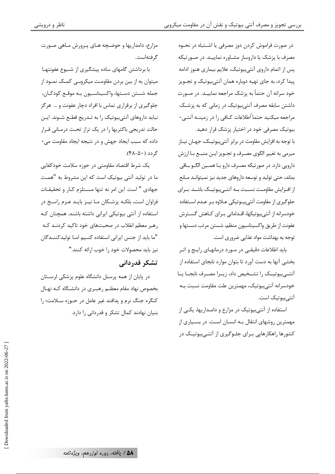در صورت فراموش کردن دوز مصرفی یا اشــتباه در نحــوه مصرف با پزشک یا داروساز مشـاوره نماییـد. در صـورتیکه پس از اتمام داروی آنتیبیوتیک، علایم بیماری هنوز ادامه پیدا کرد، به جای تهیه دوباره همان آنتیبیوتیک و تجـویز خود سرانه آن حتماً به پزشک مراجعه نماییـد. در صـورت داشتن سابقه مصرف آنتی بیوتیک در زمانی که به پزشـک مراجعه میکنید حتما ًاطلاعات کـافي را در زمینــه آنتــي-بیوتیک مصرفی خود در اختیار پزشک قرار دهید.

با توجه به افزایش مقاومت در برابر آنتی بیوتیـک، جهـان نیـاز مبرمي به تغيير الگوي مصرف و تجـويز ايــن منبــع بـا ارزش دارویی دارد. در صورتیکه مصـرف دارو بـا همــین الگــو بــاقی بماند، حتی تولید و توسعه داروهای جدید نیز نمیتوانـد مـانع از افـزايش مقاومـت نسـبت بـه آنتــ بيوتيــک باشــد. بــراي جلوگیری از مقاومت آنتے ہیںوتیکی عبلاوہ ہے عبدم استفادہ خودسرانه از آنتی،پیوتیکها، اقــداماتی بـرای کــاهش گســترش عفونت از طريق واكسيناسيون منظم، شستن مرتب دســتها و توجه به بهداشت مواد غذایی ضروری است.

باید اطلاعات دقیقے ،در مــورد درمانهــای رایــج و اثــر بخشی آنها به دست آورد تا بتوان موارد نابجای استفاده از آنتــیبیوتیــک را تشــخیص داد، زیــرا مصــرف نابجــا یــا خودسرانه آنتىبيوتيك، مهمترين علت مقاومت نسبت بـه آنتے ہیوتیک است.

استفاده از آنتیبیوتیک در مزارع و دامـداریها، یکـی از مهمترین روشهای انتقال بـه انسـان اسـت. در بسـياری از کشورها راهکارهایی بـرای جلـوگیری از آنتـی،بیوتیـک در

مزارع، دامداریها و حوضـچه هـای پـرورش مـاهی صـورت گرفتهاست.

با برداشتن گامهای ساده پیشگیری از شـیوع عفونتهـا میتوان به از بین بردن مقاومت میکروبے کمک نمود از جمله شستن دسـتها، واكسيناسـيون بـه موقـع كودكـان، جلوگیری از برقراری تماس با افراد دچار عفونت و … هرگز نباید داروهای آنتیبیوتیک را به تـدریج قطـع شـوند. ایـن حالت تدریجی باکتریها را در یک تراز تحت درمـانی قـرار داده که سبب ایجاد جهش و در نتیجه ایجاد مقاومت می-گ دد (۴۸-۵۰).

یک شرط اقتصاد مقاومتی در حوزه سلامت خودکفایی ما در تولید آنتی بیوتیک است که این مشروط به "همـت جهادی " است. این امر نه تنها مسـتلزم کـار و تحقیقـات فراوان است، بلکـه پزشــکان مـا نیــز بایــد عــزم راســخ در استفاده از آنتی بیوتیکی ایرانی داشته باشند. همچنان کـه رهبر معظم انقلاب در صحبتهای خود تاکید کردنـد کـه "ما بايد از جنس ايراني استفاده كنيم امـا توليدكننـدگان نيز بايد محصولات خود ,ا خوب ا,ائه كنند."

#### تشکر قدردانی

در پایان از همه پرسنل دانشگاه علوم پزشکی لرستان بخصوص نهاد مقام معظـم رهبـري در دانشـگاه كـه نهـال كنگره جنگ نرم و يدافند غير عامل در حـوزه سـلامت؛ را بنیان نهادند کمال تشکر و قدردانی را دارد.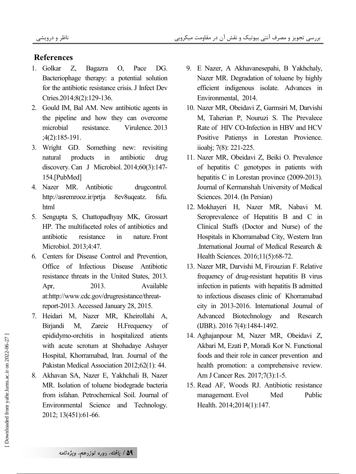### **References**

- 1. Golkar Z, Bagazra O, Pace DG. Bacteriophage therapy: a potential solution for the antibiotic resistance crisis. J Infect Dev Ctries.2014;8(2):129-136.
- 2. Gould IM, Bal AM. New antibiotic agents in the pipeline and how they can overcome microbial resistance. Virulence. 2013 ;4(2):185-191.
- 3. Wright GD. Something new: revisiting natural products in antibiotic drug discovery. Can J Microbiol. 2014;60(3):147 - 154.[PubMed]
- 4. Nazer MR. Antibiotic drugcontrol. http://asremrooz.ir/prtja 8ev8uqeatz. fsfu. html
- 5. Sengupta S, Chattopadhyay MK, Grossart HP. The multifaceted roles of antibiotics and antibiotic resistance in nature. Front Microbiol. 2013;4:47.
- 6. Centers for Disease Control and Prevention, Office of Infectious Disease Antibiotic resistance threats in the United States, 2013. Apr, 2013. Available at:http://www.cdc.gov/drugresistance/threatreport-2013. Accessed January 28, 2015.
- 7. Heidari M, Nazer MR, Kheirollahi A, Birjandi M, Zareie H.Frequency of epididymo-orchitis in hospitalized atients with acute scrotum at Shohadaye Ashayer Hospital, Khorramabad, Iran. Journal of the Pakistan Medical Association 2012;62(1): 44.
- 8. Akhavan SA, Nazer E, Yakhchali B, Nazer MR. Isolation of toluene biodegrade bacteria from isfahan. Petrochemical Soil. Journal of Environmental Science and Technology. 2012; 13(451):61-66.
- 9. E Nazer, A Akhavanesepahi, B Yakhchaly, Nazer MR. Degradation of toluene by highly efficient indigenous isolate. Advances in Environmental, 2014.
- 10. Nazer MR, Obeidavi Z, Garmsiri M, Darvishi M, Taherian P, Nouruzi S. The Prevalece Rate of HIV CO-Infection in HBV and HCV Positive Patienys in Lorestan Provience. iioabj; 7(8): 221-225.
- 11. Nazer MR, Obeidavi Z, Beiki O. Prevalence of hepatitis C genotypes in patients with hepatitis C in Lorestan province (2009-2013). Journal of Kermanshah University of Medical Sciences. 2014. (In Persian)
- 12. Mokhayeri H, Nazer MR, Nabavi M. Seroprevalence of Hepatitis B and C in Clinical Staffs (Doctor and Nurse) of the Hospitals in Khorramabad City, Western Iran .International Journal of Medical Research & Health Sciences. 2016;11(5):68-72.
- 13. Nazer MR, Darvishi M, Firouzian F. Relative frequency of drug-resistant hepatitis B virus infection in patients with hepatitis B admitted to infectious diseases clinic of Khorramabad city in 2013-2016. International Journal of Advanced Biotechnology and Research (IJBR). 2016 7(4):1484-1492.
- 14. Aghajanpour M, Nazer MR, Obeidavi Z, Akbari M, Ezati P, Moradi Kor N. Functional foods and their role in cancer prevention and health promotion: a comprehensive review. Am J Cancer Res. 2017;7(3):1-5.
- 15. Read AF, Woods RJ. Antibiotic resistance management. Evol Med Public Health. 2014;2014(1):147.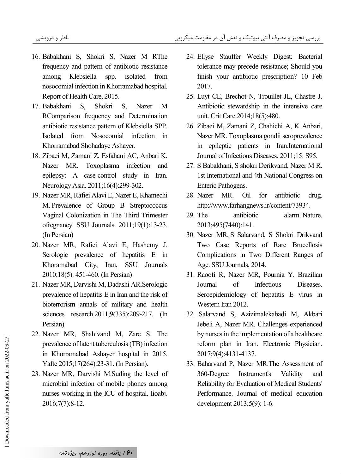- 16. Babakhani S, Shokri S, Nazer M RThe frequency and pattern of antibiotic resistance among Klebsiella spp. isolated from nosocomial infection in Khorramabad hospital. Report of Health Care, 2015.
- 17. Babakhani S, Shokri S, Nazer M RComparison frequency and Determination antibiotic resistance pattern of Klebsiella SPP. Isolated from Nosocomial infection in Khorramabad Shohadaye Ashayer.
- 18. Zibaei M, Zamani Z, Esfahani AC, Anbari K, Nazer MR. Toxoplasma infection and epilepsy: A case-control study in Iran. Neurology Asia. 2011;16(4):299-302.
- 19. Nazer MR, Rafiei Alavi E, Nazer E, Khamechi M . Prevalence of Group B Streptococcus Vaginal Colonization in The Third Trimester ofregnancy. SSU Journals. 2011;19(1):13-23. (In Persian)
- 20. Nazer MR, Rafiei Alavi E, Hashemy J. Serologic prevalence of hepatitis E in Khoramabad City, Iran, SSU Journals 2010;18(5): 451-460. (In Persian)
- 21. Nazer MR, Darvishi M, Dadashi AR.Serologic prevalence of hepatitis E in Iran and the risk of bioterrorism annals of military and health sciences research.2011;9(335):209-217. (In Persian)
- 22. Nazer MR, Shahivand M, Zare S. The prevalence of latent tuberculosis (TB) infection in Khorramabad Ashayer hospital in 2015. Yafte 2015;17(264):23-31. (In Persian).
- 23. Nazer MR, Darvishi M.Suding the level of microbial infection of mobile phones among nurses working in the ICU of hospital. Iioabj. 2016;7(7):8-12.
- 24. Ellyse Stauffer Weekly Digest: Bacterial tolerance may precede resistance; Should you finish your antibiotic prescription? 10 Feb 2017.
- 25. Luyt CE, Brechot N, Trouillet JL, Chastre J. Antibiotic stewardship in the intensive care unit. Crit Care.2014;18(5):480.
- 26. Zibaei M, Zamani Z, Chahichi A, K Anbari, Nazer MR. Toxoplasma gondii seroprevalence in epileptic patients in Iran.International Journal of Infectious Diseases. 2011;15: S95.
- 27. S Babakhani, S shokri Derikvand, Nazer M R. 1st International and 4th National Congress on Enteric Pathogens.
- 28. Nazer MR. Oil for antibiotic drug. http://www.farhangnews.ir/content/73934.
- 29. The antibiotic alarm. Nature. 2013;495(7440):141.
- 30. Nazer MR, S Salarvand, S Shokri Drikvand Two Case Reports of Rare Brucellosis Complications in Two Different Ranges of Age. SSU Journals, 2014.
- 31. Raoofi R, Nazer MR, Pournia Y. Brazilian Journal of Infectious Diseases. Seroepidemiology of hepatitis E virus in Western Iran 2012.
- 32. Salarvand S, Azizimalekabadi M, Akbari Jebeli A, Nazer MR. Challenges experienced by nurses in the implementation of a healthcare reform plan in Iran. Electronic Physician. 2017;9(4):4131-4137.
- 33. Baharvand P, Nazer MR.The Assessment of 360-Degree Instrument's Validity and Reliability for Evaluation of Medical Students' Performance. Journal of medical education development 2013;5(9): 1-6.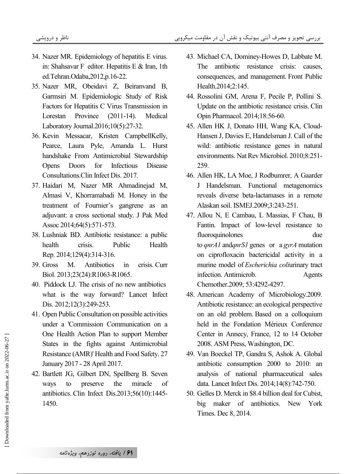- 34. Nazer MR. Epidemiology of hepatitis E virus. in: Shahsavar F editor. Hepatitis E & Iran, 1th ed.Tehran.Odaba,2012,p.16-22.
- 35. Nazer MR, Obeidavi Z, Beiranvand B, Garmsiri M. Epidemiologic Study of Risk Factors for Hepatitis C Virus Transmission in Lorestan Province (2011-14). Medical Laboratory Journal.2016;10(5):27-32.
- 36. Kevin Messacar, Kristen CampbellKelly, Pearce, Laura Pyle, Amanda L. Hurst handshake From Antimicrobial Stewardship Opens Doors for Infectious Disease Consultations.Clin Infect Dis. 2017.
- 37. Haidari M, Nazer MR Ahmadinejad M, Almasi V, Khorramabadi M. Honey in the treatment of Fournier's gangrene as an adjuvant: a cross sectional study. J Pak Med Assoc 2014;64(5):571-573.
- 38. Lushniak BD. Antibiotic resistance: a public health crisis. Public Health Rep. 2014;129(4):314-316.
- 39. Gross M. Antibiotics in crisis. Curr Biol. 2013;23(24):R1063-R1065.
- 40. Piddock LJ. The crisis of no new antibiotics what is the way forward? Lancet Infect Dis. 2012;12(3):249-253.
- 41. Open Public Consultation on possible activities under a 'Commission Communication on a One Health Action Plan to support Member States in the fights against Antimicrobial Resistance (AMR)' Health and Food Safety. 27 January 2017 - 28 April 2017.
- 42. Bartlett JG, Gilbert DN, Spellberg B. Seven ways to preserve the miracle of antibiotics. Clin Infect Dis.2013;56(10):1445- 1450.
- 43. Michael CA, Dominey-Howes D, Labbate M. The antibiotic resistance crisis: causes, consequences, and management. Front Public Health.2014;2:145.
- 44. Rossolini GM, Arena F, Pecile P, Pollini S. Update on the antibiotic resistance crisis. Clin Opin Pharmacol. 2014;18:56-60.
- 45. Allen HK J, Donato HH, Wang KA, Cloud-Hansen J, Davies E, Handelsman J. Call of the wild: antibiotic resistance genes in natural environments. Nat Rev Microbiol. 2010;8:251- 259.
- 46. Allen HK, LA Moe, J Rodbumrer, A Gaarder J Handelsman. Functional metagenomics reveals diverse beta-lactamases in a remote Alaskan soil. ISMEJ.2009;3:243-251.
- 47. Allou N, E Cambau, L Massias, F Chau, B Fantin. Impact of low-level resistance to fluoroquinolones due to *qnrA1* and*qnrS1* genes or a *gyrA* mutation on ciprofloxacin bactericidal activity in a murine model of *Escherichia coli*urinary tract infection. Antimicrob. Agents Chemother.2009; 53:4292-4297.
- 48. American Academy of Microbiology.2009. Antibiotic resistance: an ecological perspective on an old problem. Based on a colloquium held in the Fondation Mérieux Conference Center in Annecy, France, 12 to 14 October 2008. ASM Press, Washington, DC.
- 49. Van Boeckel TP, Gandra S, Ashok A. Global antibiotic consumption 2000 to 2010: an analysis of national pharmaceutical sales data. Lancet Infect Dis. 2014;14(8):742-750.
- 50. Gelles D. Merck in \$8.4 billion deal for Cubist, big maker of antibiotics. New York Times. Dec 8, 2014.